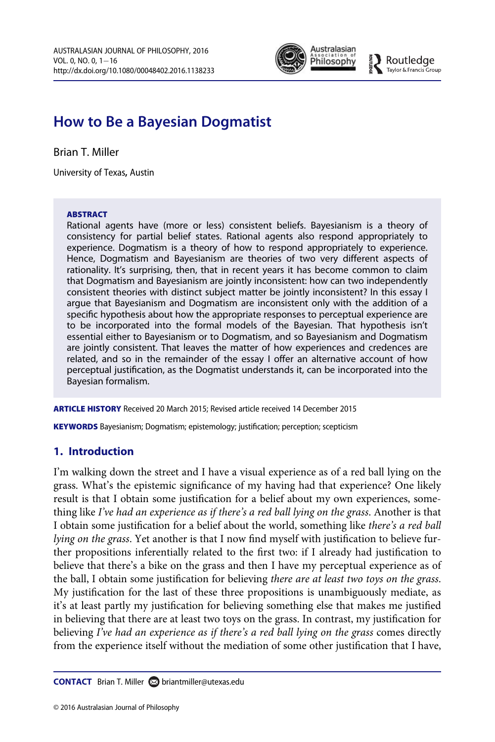

# How to Be a Bayesian Dogmatist

Brian T. Miller

University of Texas, Austin

#### ABSTRACT

Rational agents have (more or less) consistent beliefs. Bayesianism is a theory of consistency for partial belief states. Rational agents also respond appropriately to experience. Dogmatism is a theory of how to respond appropriately to experience. Hence, Dogmatism and Bayesianism are theories of two very different aspects of rationality. It's surprising, then, that in recent years it has become common to claim that Dogmatism and Bayesianism are jointly inconsistent: how can two independently consistent theories with distinct subject matter be jointly inconsistent? In this essay I argue that Bayesianism and Dogmatism are inconsistent only with the addition of a specific hypothesis about how the appropriate responses to perceptual experience are to be incorporated into the formal models of the Bayesian. That hypothesis isn't essential either to Bayesianism or to Dogmatism, and so Bayesianism and Dogmatism are jointly consistent. That leaves the matter of how experiences and credences are related, and so in the remainder of the essay I offer an alternative account of how perceptual justification, as the Dogmatist understands it, can be incorporated into the Bayesian formalism.

ARTICLE HISTORY Received 20 March 2015; Revised article received 14 December 2015

KEYWORDS Bayesianism; Dogmatism; epistemology; justification; perception; scepticism

# 1. Introduction

I'm walking down the street and I have a visual experience as of a red ball lying on the grass. What's the epistemic significance of my having had that experience? One likely result is that I obtain some justification for a belief about my own experiences, something like I've had an experience as if there's a red ball lying on the grass. Another is that I obtain some justification for a belief about the world, something like there's a red ball lying on the grass. Yet another is that I now find myself with justification to believe further propositions inferentially related to the first two: if I already had justification to believe that there's a bike on the grass and then I have my perceptual experience as of the ball, I obtain some justification for believing there are at least two toys on the grass. My justification for the last of these three propositions is unambiguously mediate, as it's at least partly my justification for believing something else that makes me justified in believing that there are at least two toys on the grass. In contrast, my justification for believing I've had an experience as if there's a red ball lying on the grass comes directly from the experience itself without the mediation of some other justification that I have,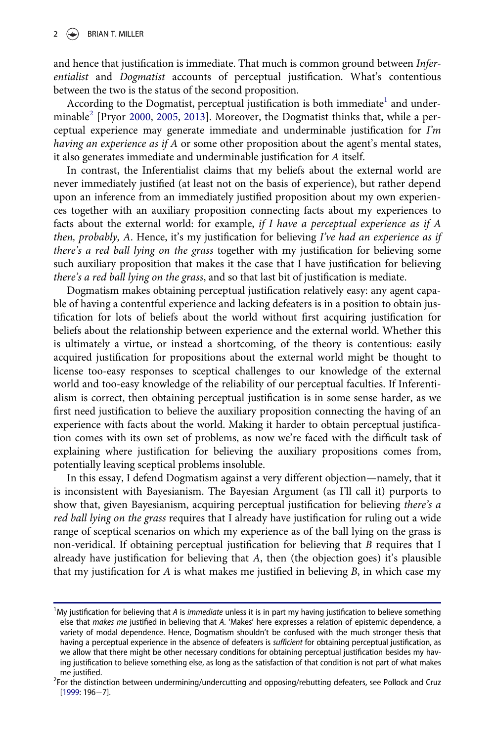and hence that justification is immediate. That much is common ground between Inferentialist and Dogmatist accounts of perceptual justification. What's contentious between the two is the status of the second proposition.

<span id="page-1-3"></span>According to the Dogmatist, perceptual justification is both immediate<sup>[1](#page-1-0)</sup> and under-minable<sup>[2](#page-1-1)</sup> [Pryor [2000,](#page-14-0) [2005](#page-14-1), [2013\]](#page-14-2). Moreover, the Dogmatist thinks that, while a perceptual experience may generate immediate and underminable justification for  $\overrightarrow{I}$ m having an experience as if A or some other proposition about the agent's mental states, it also generates immediate and underminable justification for A itself.

In contrast, the Inferentialist claims that my beliefs about the external world are never immediately justified (at least not on the basis of experience), but rather depend upon an inference from an immediately justified proposition about my own experiences together with an auxiliary proposition connecting facts about my experiences to facts about the external world: for example, if I have a perceptual experience as if  $A$ then, probably, A. Hence, it's my justification for believing I've had an experience as if there's a red ball lying on the grass together with my justification for believing some such auxiliary proposition that makes it the case that I have justification for believing there's a red ball lying on the grass, and so that last bit of justification is mediate.

Dogmatism makes obtaining perceptual justification relatively easy: any agent capable of having a contentful experience and lacking defeaters is in a position to obtain justification for lots of beliefs about the world without first acquiring justification for beliefs about the relationship between experience and the external world. Whether this is ultimately a virtue, or instead a shortcoming, of the theory is contentious: easily acquired justification for propositions about the external world might be thought to license too-easy responses to sceptical challenges to our knowledge of the external world and too-easy knowledge of the reliability of our perceptual faculties. If Inferentialism is correct, then obtaining perceptual justification is in some sense harder, as we first need justification to believe the auxiliary proposition connecting the having of an experience with facts about the world. Making it harder to obtain perceptual justification comes with its own set of problems, as now we're faced with the difficult task of explaining where justification for believing the auxiliary propositions comes from, potentially leaving sceptical problems insoluble.

In this essay, I defend Dogmatism against a very different objection—namely, that it is inconsistent with Bayesianism. The Bayesian Argument (as I'll call it) purports to show that, given Bayesianism, acquiring perceptual justification for believing there's a red ball lying on the grass requires that I already have justification for ruling out a wide range of sceptical scenarios on which my experience as of the ball lying on the grass is non-veridical. If obtaining perceptual justification for believing that B requires that I already have justification for believing that A, then (the objection goes) it's plausible that my justification for  $A$  is what makes me justified in believing  $B$ , in which case my

<span id="page-1-0"></span><sup>&</sup>lt;sup>1</sup>My justification for believing that A is immediate unless it is in part my having justification to believe something else that makes me justified in believing that A. 'Makes' here expresses a relation of epistemic dependence, a variety of modal dependence. Hence, Dogmatism shouldn't be confused with the much stronger thesis that having a perceptual experience in the absence of defeaters is sufficient for obtaining perceptual justification, as we allow that there might be other necessary conditions for obtaining perceptual justification besides my having justification to believe something else, as long as the satisfaction of that condition is not part of what makes me justified. <sup>2</sup>

<span id="page-1-2"></span><span id="page-1-1"></span><sup>&</sup>lt;sup>2</sup>For the distinction between undermining/undercutting and opposing/rebutting defeaters, see Pollock and Cruz  $[1999: 196 - 7]$  $[1999: 196 - 7]$  $[1999: 196 - 7]$ .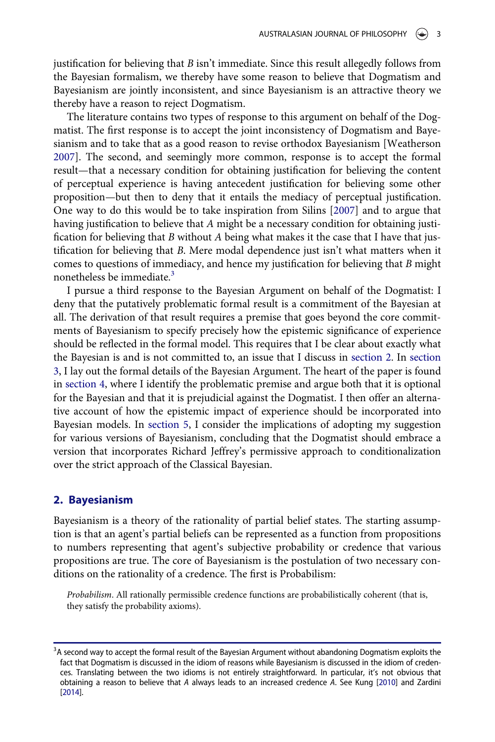justification for believing that  $B$  isn't immediate. Since this result allegedly follows from the Bayesian formalism, we thereby have some reason to believe that Dogmatism and Bayesianism are jointly inconsistent, and since Bayesianism is an attractive theory we thereby have a reason to reject Dogmatism.

<span id="page-2-4"></span>The literature contains two types of response to this argument on behalf of the Dogmatist. The first response is to accept the joint inconsistency of Dogmatism and Bayesianism and to take that as a good reason to revise orthodox Bayesianism [Weatherson [2007\]](#page-14-4). The second, and seemingly more common, response is to accept the formal result—that a necessary condition for obtaining justification for believing the content of perceptual experience is having antecedent justification for believing some other proposition—but then to deny that it entails the mediacy of perceptual justification. One way to do this would be to take inspiration from Silins [\[2007](#page-14-5)] and to argue that having justification to believe that A might be a necessary condition for obtaining justification for believing that B without A being what makes it the case that I have that justification for believing that B. Mere modal dependence just isn't what matters when it comes to questions of immediacy, and hence my justification for believing that B might nonetheless be immediate.[3](#page-2-0)

<span id="page-2-3"></span>I pursue a third response to the Bayesian Argument on behalf of the Dogmatist: I deny that the putatively problematic formal result is a commitment of the Bayesian at all. The derivation of that result requires a premise that goes beyond the core commitments of Bayesianism to specify precisely how the epistemic significance of experience should be reflected in the formal model. This requires that I be clear about exactly what the Bayesian is and is not committed to, an issue that I discuss in [section 2.](#page-2-1) In [section](#page-3-0) [3,](#page-3-0) I lay out the formal details of the Bayesian Argument. The heart of the paper is found in [section 4,](#page-5-0) where I identify the problematic premise and argue both that it is optional for the Bayesian and that it is prejudicial against the Dogmatist. I then offer an alternative account of how the epistemic impact of experience should be incorporated into Bayesian models. In [section 5,](#page-11-0) I consider the implications of adopting my suggestion for various versions of Bayesianism, concluding that the Dogmatist should embrace a version that incorporates Richard Jeffrey's permissive approach to conditionalization over the strict approach of the Classical Bayesian.

#### <span id="page-2-1"></span>2. Bayesianism

Bayesianism is a theory of the rationality of partial belief states. The starting assumption is that an agent's partial beliefs can be represented as a function from propositions to numbers representing that agent's subjective probability or credence that various propositions are true. The core of Bayesianism is the postulation of two necessary conditions on the rationality of a credence. The first is Probabilism:

Probabilism. All rationally permissible credence functions are probabilistically coherent (that is, they satisfy the probability axioms).

<span id="page-2-5"></span><span id="page-2-2"></span><span id="page-2-0"></span><sup>&</sup>lt;sup>3</sup>A second way to accept the formal result of the Bayesian Argument without abandoning Dogmatism exploits the fact that Dogmatism is discussed in the idiom of reasons while Bayesianism is discussed in the idiom of credences. Translating between the two idioms is not entirely straightforward. In particular, it's not obvious that obtaining a reason to believe that A always leads to an increased credence A. See Kung [[2010\]](#page-14-6) and Zardini [[2014\]](#page-15-0).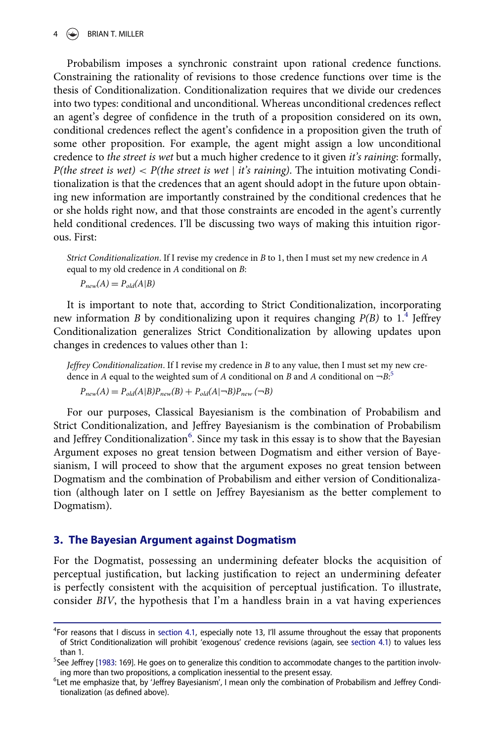#### $4 \quad \circledast$  BRIAN T. MILLER

Probabilism imposes a synchronic constraint upon rational credence functions. Constraining the rationality of revisions to those credence functions over time is the thesis of Conditionalization. Conditionalization requires that we divide our credences into two types: conditional and unconditional. Whereas unconditional credences reflect an agent's degree of confidence in the truth of a proposition considered on its own, conditional credences reflect the agent's confidence in a proposition given the truth of some other proposition. For example, the agent might assign a low unconditional credence to the street is wet but a much higher credence to it given it's raining: formally,  $P(the street is wet) < P(the street is wet)$  is wet is wet | it's raining. The intuition motivating Conditionalization is that the credences that an agent should adopt in the future upon obtaining new information are importantly constrained by the conditional credences that he or she holds right now, and that those constraints are encoded in the agent's currently held conditional credences. I'll be discussing two ways of making this intuition rigorous. First:

Strict Conditionalization. If I revise my credence in B to 1, then I must set my new credence in A equal to my old credence in A conditional on B:

 $P_{new}(A) = P_{old}(A|B)$ 

It is important to note that, according to Strict Conditionalization, incorporating new information B by conditionalizing upon it requires changing  $P(B)$  to 1.<sup>[4](#page-3-1)</sup> Jeffrey Conditionalization generalizes Strict Conditionalization by allowing updates upon changes in credences to values other than 1:

Jeffrey Conditionalization. If I revise my credence in B to any value, then I must set my new credence in A equal to the weighted sum of A conditional on B and A conditional on  $\neg B$ .<sup>[5](#page-3-2)</sup>  $P_{new}(A) = P_{old}(A|B)P_{new}(B) + P_{old}(A|\neg B)P_{new}(\neg B)$ 

For our purposes, Classical Bayesianism is the combination of Probabilism and Strict Conditionalization, and Jeffrey Bayesianism is the combination of Probabilism and Jeffrey Conditionalization<sup>[6](#page-3-3)</sup>. Since my task in this essay is to show that the Bayesian Argument exposes no great tension between Dogmatism and either version of Bayesianism, I will proceed to show that the argument exposes no great tension between Dogmatism and the combination of Probabilism and either version of Conditionalization (although later on I settle on Jeffrey Bayesianism as the better complement to Dogmatism).

# <span id="page-3-0"></span>3. The Bayesian Argument against Dogmatism

For the Dogmatist, possessing an undermining defeater blocks the acquisition of perceptual justification, but lacking justification to reject an undermining defeater is perfectly consistent with the acquisition of perceptual justification. To illustrate, consider BIV, the hypothesis that I'm a handless brain in a vat having experiences

<span id="page-3-1"></span><sup>&</sup>lt;sup>4</sup>For reasons that I discuss in [section 4.1,](#page-6-0) especially note 13, I'll assume throughout the essay that proponents of Strict Conditionalization will prohibit 'exogenous' credence revisions (again, see [section 4.1\)](#page-6-0) to values less than 1.<br><sup>5</sup>See Jeffrey [[1983:](#page-14-7) 169]. He goes on to generalize this condition to accommodate changes to the partition involv-

<span id="page-3-2"></span>ing more than two propositions, a complication inessential to the present essay.

<span id="page-3-3"></span> $6$ Let me emphasize that, by 'Jeffrey Bayesianism', I mean only the combination of Probabilism and Jeffrey Conditionalization (as defined above).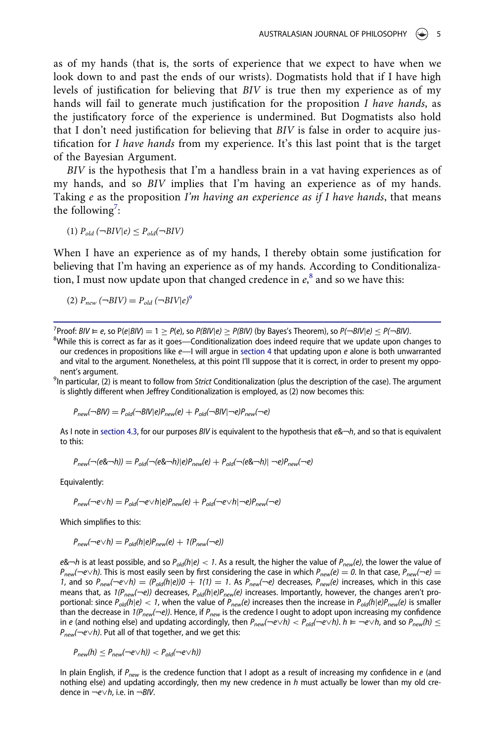as of my hands (that is, the sorts of experience that we expect to have when we look down to and past the ends of our wrists). Dogmatists hold that if I have high levels of justification for believing that BIV is true then my experience as of my hands will fail to generate much justification for the proposition I have hands, as the justificatory force of the experience is undermined. But Dogmatists also hold that I don't need justification for believing that BIV is false in order to acquire justification for I have hands from my experience. It's this last point that is the target of the Bayesian Argument.

 $BIV$  is the hypothesis that I'm a handless brain in a vat having experiences as of my hands, and so BIV implies that I'm having an experience as of my hands. Taking  $e$  as the proposition I'm having an experience as if I have hands, that means the following<sup>[7](#page-4-0)</sup>:

(1)  $P_{old}(\neg BIV|e) \leq P_{old}(\neg BIV)$ 

When I have an experience as of my hands, I thereby obtain some justification for believing that I'm having an experience as of my hands. According to Conditionalization, I must now update upon that changed credence in  $e<sub>i</sub><sup>8</sup>$  $e<sub>i</sub><sup>8</sup>$  $e<sub>i</sub><sup>8</sup>$  and so we have this:

(2)  $P_{new} (\neg BIV) = P_{old} (\neg BIV|e)^9$  $P_{new} (\neg BIV) = P_{old} (\neg BIV|e)^9$ 

<span id="page-4-0"></span><sup>7</sup> Proof: BIV ⊨ e, so P(e|BIV) = 1 ≥ P(e), so P(BIV|e) ≥ P(BIV) (by Bayes's Theorem), so P(¬BIV)|e) ≤ P(¬BIV).<br><sup>8</sup>While this is correct as far as it croes—Conditionalization does indeed require that we undate upon ch

<span id="page-4-2"></span> $9$ In particular, (2) is meant to follow from Strict Conditionalization (plus the description of the case). The argument is slightly different when Jeffrey Conditionalization is employed, as (2) now becomes this:

 $P_{new}(\neg BIV) = P_{old}(\neg BIV|e)P_{new}(e) + P_{old}(\neg BIV|\neg e)P_{new}(\neg e)$ 

As I note in [section 4.3,](#page-9-0) for our purposes BIV is equivalent to the hypothesis that e&-h, and so that is equivalent to this:

$$
P_{new}(\neg(e\&\neg h)) = P_{old}(\neg(e\&\neg h)|e)P_{new}(e) + P_{old}(\neg(e\&\neg h)|\neg e)P_{new}(\neg e)
$$

Equivalently:

 $P_{new}(\neg e \lor h) = P_{old}(\neg e \lor h|e)P_{new}(e) + P_{old}(\neg e \lor h|\neg e)P_{new}(\neg e)$ 

Which simplifies to this:

 $P_{new}(\neg e \lor h) = P_{old}(h|e)P_{new}(e) + 1(P_{new}(\neg e))$ 

 $e&-h$  is at least possible, and so  $P_{old}(h|e) < 1$ . As a result, the higher the value of  $P_{new}(e)$ , the lower the value of  $P_{new}(-e\vee h)$ . This is most easily seen by first considering the case in which  $P_{new}(e) = 0$ . In that case,  $P_{new}(-e) = 0$ 1, and so  $P_{new}(\neg e \lor h) = (P_{old}(h|e))0 + 1(1) = 1$ . As  $P_{new}(\neg e)$  decreases,  $P_{new}(e)$  increases, which in this case means that, as  $1(P_{new}(-e))$  decreases,  $P_{old}(h|e)P_{new}(e)$  increases. Importantly, however, the changes aren't proportional: since  $P_{old}(h|e) < 1$ , when the value of  $P_{new}(e)$  increases then the increase in  $P_{old}(h|e)P_{new}(e)$  is smaller than the decrease in  $1(P_{new}(-e))$ . Hence, if  $P_{new}$  is the credence I ought to adopt upon increasing my confidence in e (and nothing else) and updating accordingly, then  $P_{new}(\neg e \lor h) < P_{old}(\neg e \lor h)$ .  $h \vDash \neg e \lor h$ , and so  $P_{new}(h) \le$  $P_{new}(\neg e \lor h)$ . Put all of that together, and we get this:

$$
P_{new}(h) \leq P_{new}(\neg e \lor h)) < P_{old}(\neg e \lor h))
$$

In plain English, if  $P_{new}$  is the credence function that I adopt as a result of increasing my confidence in e (and nothing else) and updating accordingly, then my new credence in  $h$  must actually be lower than my old credence in  $\lnot e \lor h$ , i.e. in  $\lnot BIV$ .

<span id="page-4-1"></span><sup>&</sup>lt;sup>8</sup>While this is correct as far as it goes—Conditionalization does indeed require that we update upon changes to our credences in propositions like e—I will argue in [section 4](#page-5-0) that updating upon e alone is both unwarranted and vital to the argument. Nonetheless, at this point I'll suppose that it is correct, in order to present my opponent's argument.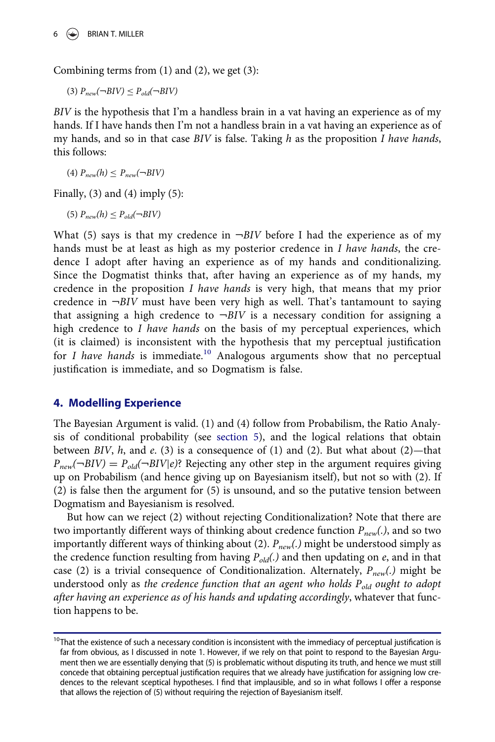Combining terms from (1) and (2), we get (3):

(3)  $P_{new}(\neg BIV) \leq P_{old}(\neg BIV)$ 

BIV is the hypothesis that I'm a handless brain in a vat having an experience as of my hands. If I have hands then I'm not a handless brain in a vat having an experience as of my hands, and so in that case  $BIV$  is false. Taking h as the proposition I have hands, this follows:

(4)  $P_{new}(h) \leq P_{new}(\neg BIV)$ 

Finally,  $(3)$  and  $(4)$  imply  $(5)$ :

(5)  $P_{new}(h) \leq P_{old}(\neg BIV)$ 

What (5) says is that my credence in  $\neg BIV$  before I had the experience as of my hands must be at least as high as my posterior credence in I have hands, the credence I adopt after having an experience as of my hands and conditionalizing. Since the Dogmatist thinks that, after having an experience as of my hands, my credence in the proposition I have hands is very high, that means that my prior credence in  $\neg BIV$  must have been very high as well. That's tantamount to saying that assigning a high credence to  $\neg BIV$  is a necessary condition for assigning a high credence to I have hands on the basis of my perceptual experiences, which (it is claimed) is inconsistent with the hypothesis that my perceptual justification for I have hands is immediate.<sup>[10](#page-5-1)</sup> Analogous arguments show that no perceptual justification is immediate, and so Dogmatism is false.

# <span id="page-5-0"></span>4. Modelling Experience

The Bayesian Argument is valid. (1) and (4) follow from Probabilism, the Ratio Analysis of conditional probability (see [section 5](#page-11-0)), and the logical relations that obtain between BIV,  $h$ , and  $e$ . (3) is a consequence of (1) and (2). But what about (2)—that  $P_{new}(\neg BIV) = P_{old}(\neg BIV|e)$ ? Rejecting any other step in the argument requires giving up on Probabilism (and hence giving up on Bayesianism itself), but not so with (2). If (2) is false then the argument for (5) is unsound, and so the putative tension between Dogmatism and Bayesianism is resolved.

But how can we reject (2) without rejecting Conditionalization? Note that there are two importantly different ways of thinking about credence function  $P_{new}(.)$ , and so two importantly different ways of thinking about (2).  $P_{new}(.)$  might be understood simply as the credence function resulting from having  $P_{old}(.)$  and then updating on e, and in that case (2) is a trivial consequence of Conditionalization. Alternately,  $P_{new}(.)$  might be understood only as the credence function that an agent who holds  $P_{old}$  ought to adopt after having an experience as of his hands and updating accordingly, whatever that function happens to be.

<span id="page-5-1"></span> $10$ That the existence of such a necessary condition is inconsistent with the immediacy of perceptual justification is far from obvious, as I discussed in note 1. However, if we rely on that point to respond to the Bayesian Argument then we are essentially denying that (5) is problematic without disputing its truth, and hence we must still concede that obtaining perceptual justification requires that we already have justification for assigning low credences to the relevant sceptical hypotheses. I find that implausible, and so in what follows I offer a response that allows the rejection of (5) without requiring the rejection of Bayesianism itself.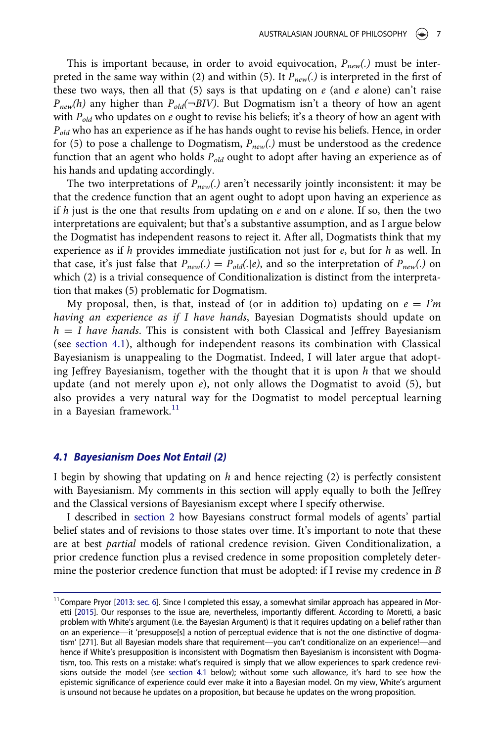This is important because, in order to avoid equivocation,  $P_{new}(.)$  must be interpreted in the same way within (2) and within (5). It  $P_{new}(.)$  is interpreted in the first of these two ways, then all that  $(5)$  says is that updating on  $e$  (and  $e$  alone) can't raise  $P_{new}(h)$  any higher than  $P_{old}(\neg BIV)$ . But Dogmatism isn't a theory of how an agent with  $P_{old}$  who updates on e ought to revise his beliefs; it's a theory of how an agent with  $P_{old}$  who has an experience as if he has hands ought to revise his beliefs. Hence, in order for (5) to pose a challenge to Dogmatism,  $P_{new}(.)$  must be understood as the credence function that an agent who holds  $P_{old}$  ought to adopt after having an experience as of his hands and updating accordingly.

The two interpretations of  $P_{new}(.)$  aren't necessarily jointly inconsistent: it may be that the credence function that an agent ought to adopt upon having an experience as if  $h$  just is the one that results from updating on  $e$  and on  $e$  alone. If so, then the two interpretations are equivalent; but that's a substantive assumption, and as I argue below the Dogmatist has independent reasons to reject it. After all, Dogmatists think that my experience as if  $h$  provides immediate justification not just for  $e$ , but for  $h$  as well. In that case, it's just false that  $P_{new}(.) = P_{old}(.)$  and so the interpretation of  $P_{new}(.)$  on which (2) is a trivial consequence of Conditionalization is distinct from the interpretation that makes (5) problematic for Dogmatism.

My proposal, then, is that, instead of (or in addition to) updating on  $e = I'm$ having an experience as if I have hands, Bayesian Dogmatists should update on  $h = I$  have hands. This is consistent with both Classical and Jeffrey Bayesianism (see [section 4.1](#page-6-0)), although for independent reasons its combination with Classical Bayesianism is unappealing to the Dogmatist. Indeed, I will later argue that adopting Jeffrey Bayesianism, together with the thought that it is upon  $h$  that we should update (and not merely upon  $e$ ), not only allows the Dogmatist to avoid (5), but also provides a very natural way for the Dogmatist to model perceptual learning in a Bayesian framework.<sup>[11](#page-6-1)</sup>

#### <span id="page-6-0"></span>4.1 Bayesianism Does Not Entail (2)

I begin by showing that updating on  $h$  and hence rejecting  $(2)$  is perfectly consistent with Bayesianism. My comments in this section will apply equally to both the Jeffrey and the Classical versions of Bayesianism except where I specify otherwise.

I described in [section 2](#page-2-1) how Bayesians construct formal models of agents' partial belief states and of revisions to those states over time. It's important to note that these are at best partial models of rational credence revision. Given Conditionalization, a prior credence function plus a revised credence in some proposition completely determine the posterior credence function that must be adopted: if I revise my credence in B

<span id="page-6-2"></span><span id="page-6-1"></span><sup>&</sup>lt;sup>11</sup> Compare Pryor [[2013:](#page-14-2) [sec. 6\]](#page-13-0). Since I completed this essay, a somewhat similar approach has appeared in Moretti [[2015\]](#page-14-8). Our responses to the issue are, nevertheless, importantly different. According to Moretti, a basic problem with White's argument (i.e. the Bayesian Argument) is that it requires updating on a belief rather than on an experience—it 'presuppose[s] a notion of perceptual evidence that is not the one distinctive of dogmatism' [271]. But all Bayesian models share that requirement—you can't conditionalize on an experience!—and hence if White's presupposition is inconsistent with Dogmatism then Bayesianism is inconsistent with Dogmatism, too. This rests on a mistake: what's required is simply that we allow experiences to spark credence revisions outside the model (see [section 4.1](#page-6-0) below); without some such allowance, it's hard to see how the epistemic significance of experience could ever make it into a Bayesian model. On my view, White's argument is unsound not because he updates on a proposition, but because he updates on the wrong proposition.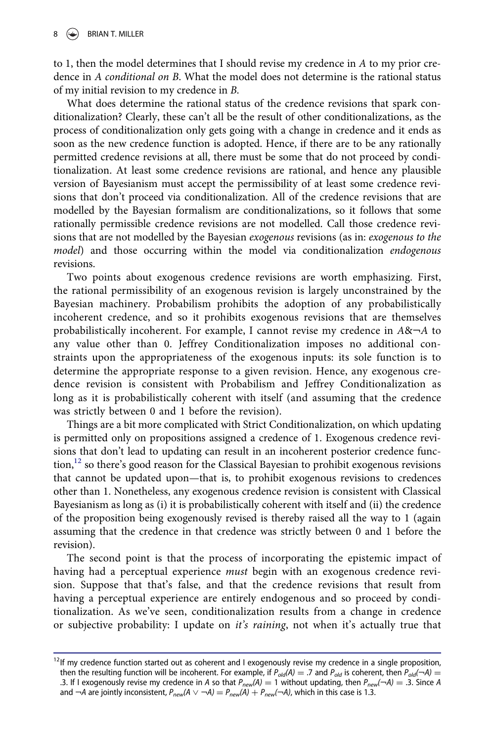to 1, then the model determines that I should revise my credence in A to my prior credence in A conditional on B. What the model does not determine is the rational status of my initial revision to my credence in B.

What does determine the rational status of the credence revisions that spark conditionalization? Clearly, these can't all be the result of other conditionalizations, as the process of conditionalization only gets going with a change in credence and it ends as soon as the new credence function is adopted. Hence, if there are to be any rationally permitted credence revisions at all, there must be some that do not proceed by conditionalization. At least some credence revisions are rational, and hence any plausible version of Bayesianism must accept the permissibility of at least some credence revisions that don't proceed via conditionalization. All of the credence revisions that are modelled by the Bayesian formalism are conditionalizations, so it follows that some rationally permissible credence revisions are not modelled. Call those credence revisions that are not modelled by the Bayesian exogenous revisions (as in: exogenous to the model) and those occurring within the model via conditionalization endogenous revisions.

Two points about exogenous credence revisions are worth emphasizing. First, the rational permissibility of an exogenous revision is largely unconstrained by the Bayesian machinery. Probabilism prohibits the adoption of any probabilistically incoherent credence, and so it prohibits exogenous revisions that are themselves probabilistically incoherent. For example, I cannot revise my credence in  $A& \neg A$  to any value other than 0. Jeffrey Conditionalization imposes no additional constraints upon the appropriateness of the exogenous inputs: its sole function is to determine the appropriate response to a given revision. Hence, any exogenous credence revision is consistent with Probabilism and Jeffrey Conditionalization as long as it is probabilistically coherent with itself (and assuming that the credence was strictly between 0 and 1 before the revision).

Things are a bit more complicated with Strict Conditionalization, on which updating is permitted only on propositions assigned a credence of 1. Exogenous credence revisions that don't lead to updating can result in an incoherent posterior credence func- $\frac{12}{10}$  $\frac{12}{10}$  $\frac{12}{10}$  so there's good reason for the Classical Bayesian to prohibit exogenous revisions that cannot be updated upon—that is, to prohibit exogenous revisions to credences other than 1. Nonetheless, any exogenous credence revision is consistent with Classical Bayesianism as long as (i) it is probabilistically coherent with itself and (ii) the credence of the proposition being exogenously revised is thereby raised all the way to 1 (again assuming that the credence in that credence was strictly between 0 and 1 before the revision).

The second point is that the process of incorporating the epistemic impact of having had a perceptual experience must begin with an exogenous credence revision. Suppose that that's false, and that the credence revisions that result from having a perceptual experience are entirely endogenous and so proceed by conditionalization. As we've seen, conditionalization results from a change in credence or subjective probability: I update on it's raining, not when it's actually true that

<span id="page-7-0"></span> $12$ If my credence function started out as coherent and I exogenously revise my credence in a single proposition, then the resulting function will be incoherent. For example, if  $P_{old}(A) = .7$  and  $P_{old}$  is coherent, then  $P_{old}(\neg A) =$ .3. If I exogenously revise my credence in A so that  $P_{new}(A) = 1$  without updating, then  $P_{new}(\neg A) = .3$ . Since A and  $-A$  are jointly inconsistent,  $P_{new}(A \vee \neg A) = P_{new}(A) + P_{new}(\neg A)$ , which in this case is 1.3.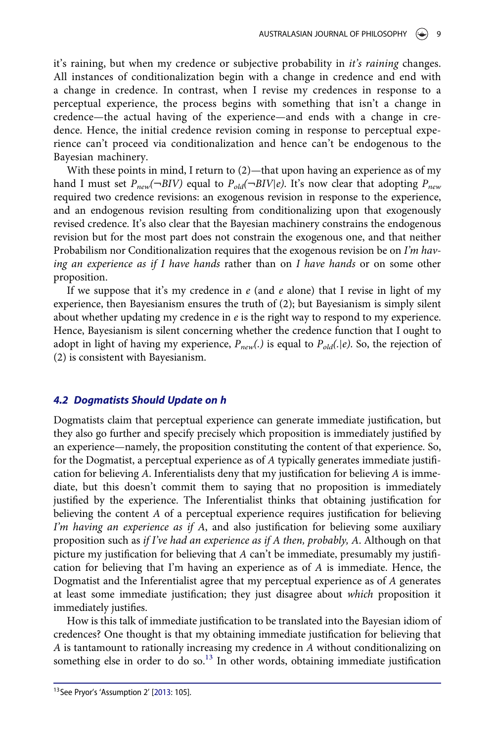it's raining, but when my credence or subjective probability in it's raining changes. All instances of conditionalization begin with a change in credence and end with a change in credence. In contrast, when I revise my credences in response to a perceptual experience, the process begins with something that isn't a change in credence—the actual having of the experience—and ends with a change in credence. Hence, the initial credence revision coming in response to perceptual experience can't proceed via conditionalization and hence can't be endogenous to the Bayesian machinery.

With these points in mind, I return to  $(2)$ —that upon having an experience as of my hand I must set  $P_{new}(\neg BIV)$  equal to  $P_{old}(\neg BIV|e)$ . It's now clear that adopting  $P_{new}$ required two credence revisions: an exogenous revision in response to the experience, and an endogenous revision resulting from conditionalizing upon that exogenously revised credence. It's also clear that the Bayesian machinery constrains the endogenous revision but for the most part does not constrain the exogenous one, and that neither Probabilism nor Conditionalization requires that the exogenous revision be on I'm having an experience as if I have hands rather than on I have hands or on some other proposition.

If we suppose that it's my credence in  $e$  (and  $e$  alone) that I revise in light of my experience, then Bayesianism ensures the truth of (2); but Bayesianism is simply silent about whether updating my credence in  $e$  is the right way to respond to my experience. Hence, Bayesianism is silent concerning whether the credence function that I ought to adopt in light of having my experience,  $P_{new}(.)$  is equal to  $P_{old}(.|e)$ . So, the rejection of (2) is consistent with Bayesianism.

#### <span id="page-8-1"></span>4.2 Dogmatists Should Update on h

Dogmatists claim that perceptual experience can generate immediate justification, but they also go further and specify precisely which proposition is immediately justified by an experience—namely, the proposition constituting the content of that experience. So, for the Dogmatist, a perceptual experience as of A typically generates immediate justification for believing A. Inferentialists deny that my justification for believing A is immediate, but this doesn't commit them to saying that no proposition is immediately justified by the experience. The Inferentialist thinks that obtaining justification for believing the content A of a perceptual experience requires justification for believing I'm having an experience as if A, and also justification for believing some auxiliary proposition such as if I've had an experience as if A then, probably, A. Although on that picture my justification for believing that A can't be immediate, presumably my justification for believing that I'm having an experience as of  $A$  is immediate. Hence, the Dogmatist and the Inferentialist agree that my perceptual experience as of A generates at least some immediate justification; they just disagree about which proposition it immediately justifies.

How is this talk of immediate justification to be translated into the Bayesian idiom of credences? One thought is that my obtaining immediate justification for believing that A is tantamount to rationally increasing my credence in A without conditionalizing on something else in order to do so.<sup>13</sup> In other words, obtaining immediate justification

<span id="page-8-0"></span><sup>&</sup>lt;sup>13</sup> See Pryor's 'Assumption 2' [[2013:](#page-14-2) 105].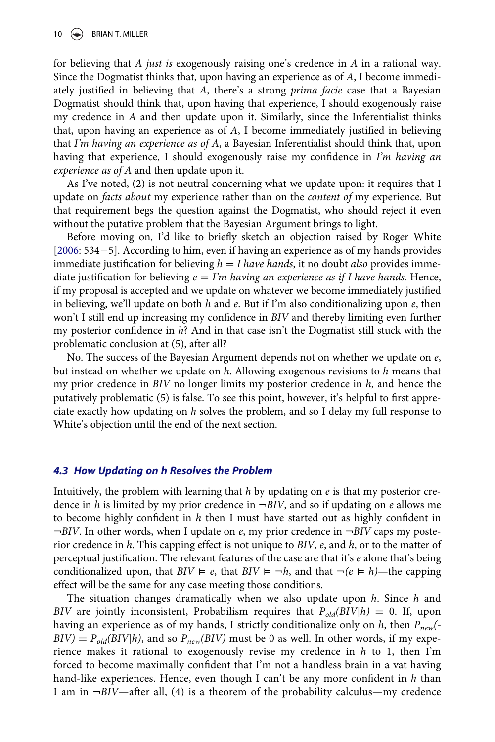for believing that A just is exogenously raising one's credence in A in a rational way. Since the Dogmatist thinks that, upon having an experience as of A, I become immediately justified in believing that A, there's a strong prima facie case that a Bayesian Dogmatist should think that, upon having that experience, I should exogenously raise my credence in A and then update upon it. Similarly, since the Inferentialist thinks that, upon having an experience as of A, I become immediately justified in believing that I'm having an experience as of A, a Bayesian Inferentialist should think that, upon having that experience, I should exogenously raise my confidence in I'm having an experience as of A and then update upon it.

As I've noted, (2) is not neutral concerning what we update upon: it requires that I update on facts about my experience rather than on the content of my experience. But that requirement begs the question against the Dogmatist, who should reject it even without the putative problem that the Bayesian Argument brings to light.

<span id="page-9-1"></span>Before moving on, I'd like to briefly sketch an objection raised by Roger White  $[2006: 534 - 5]$  $[2006: 534 - 5]$ . According to him, even if having an experience as of my hands provides immediate justification for believing  $h = I$  have hands, it no doubt also provides immediate justification for believing  $e = I'm$  having an experience as if I have hands. Hence, if my proposal is accepted and we update on whatever we become immediately justified in believing, we'll update on both  $h$  and  $e$ . But if I'm also conditionalizing upon  $e$ , then won't I still end up increasing my confidence in BIV and thereby limiting even further my posterior confidence in h? And in that case isn't the Dogmatist still stuck with the problematic conclusion at (5), after all?

No. The success of the Bayesian Argument depends not on whether we update on e, but instead on whether we update on  $h$ . Allowing exogenous revisions to  $h$  means that my prior credence in BIV no longer limits my posterior credence in h, and hence the putatively problematic (5) is false. To see this point, however, it's helpful to first appreciate exactly how updating on  $h$  solves the problem, and so I delay my full response to White's objection until the end of the next section.

#### <span id="page-9-0"></span>4.3 How Updating on h Resolves the Problem

Intuitively, the problem with learning that  $h$  by updating on  $e$  is that my posterior credence in h is limited by my prior credence in  $\neg BIV$ , and so if updating on e allows me to become highly confident in  $h$  then I must have started out as highly confident in  $\neg BIV$ . In other words, when I update on e, my prior credence in  $\neg BIV$  caps my posterior credence in h. This capping effect is not unique to BIV, e, and h, or to the matter of perceptual justification. The relevant features of the case are that it's e alone that's being conditionalized upon, that  $BIV \vDash e$ , that  $BIV \vDash \neg h$ , and that  $\neg (e \vDash h)$ —the capping effect will be the same for any case meeting those conditions.

The situation changes dramatically when we also update upon  $h$ . Since  $h$  and BIV are jointly inconsistent, Probabilism requires that  $P_{old}(BIV|h) = 0$ . If, upon having an experience as of my hands, I strictly conditionalize only on h, then  $P_{new}$ .  $BV$ ) =  $P_{old}(BIV|h)$ , and so  $P_{new}(BIV)$  must be 0 as well. In other words, if my experience makes it rational to exogenously revise my credence in  $h$  to 1, then I'm forced to become maximally confident that I'm not a handless brain in a vat having hand-like experiences. Hence, even though I can't be any more confident in  $h$  than I am in  $\neg BIV$ —after all, (4) is a theorem of the probability calculus—my credence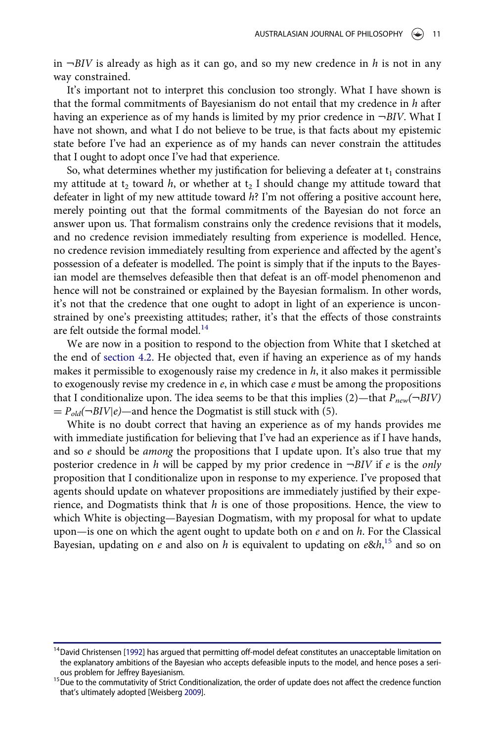in  $\neg BIV$  is already as high as it can go, and so my new credence in h is not in any way constrained.

It's important not to interpret this conclusion too strongly. What I have shown is that the formal commitments of Bayesianism do not entail that my credence in  $h$  after having an experience as of my hands is limited by my prior credence in  $\neg BIV$ . What I have not shown, and what I do not believe to be true, is that facts about my epistemic state before I've had an experience as of my hands can never constrain the attitudes that I ought to adopt once I've had that experience.

So, what determines whether my justification for believing a defeater at  $t_1$  constrains my attitude at  $t_2$  toward h, or whether at  $t_2$  I should change my attitude toward that defeater in light of my new attitude toward h? I'm not offering a positive account here, merely pointing out that the formal commitments of the Bayesian do not force an answer upon us. That formalism constrains only the credence revisions that it models, and no credence revision immediately resulting from experience is modelled. Hence, no credence revision immediately resulting from experience and affected by the agent's possession of a defeater is modelled. The point is simply that if the inputs to the Bayesian model are themselves defeasible then that defeat is an off-model phenomenon and hence will not be constrained or explained by the Bayesian formalism. In other words, it's not that the credence that one ought to adopt in light of an experience is unconstrained by one's preexisting attitudes; rather, it's that the effects of those constraints are felt outside the formal model. $14$ 

We are now in a position to respond to the objection from White that I sketched at the end of [section 4.2.](#page-8-1) He objected that, even if having an experience as of my hands makes it permissible to exogenously raise my credence in  $h$ , it also makes it permissible to exogenously revise my credence in  $e$ , in which case  $e$  must be among the propositions that I conditionalize upon. The idea seems to be that this implies (2)—that  $P_{new}(\neg BIV)$  $= P_{old}(\neg BIV|e)$ —and hence the Dogmatist is still stuck with (5).

White is no doubt correct that having an experience as of my hands provides me with immediate justification for believing that I've had an experience as if I have hands, and so  $e$  should be *among* the propositions that I update upon. It's also true that my posterior credence in h will be capped by my prior credence in  $\neg BIV$  if e is the only proposition that I conditionalize upon in response to my experience. I've proposed that agents should update on whatever propositions are immediately justified by their experience, and Dogmatists think that  $h$  is one of those propositions. Hence, the view to which White is objecting—Bayesian Dogmatism, with my proposal for what to update upon—is one on which the agent ought to update both on  $e$  and on  $h$ . For the Classical Bayesian, updating on e and also on h is equivalent to updating on  $e$ &h,<sup>[15](#page-10-1)</sup> and so on

<span id="page-10-0"></span><sup>&</sup>lt;sup>14</sup>David Christensen [[1992\]](#page-14-10) has argued that permitting off-model defeat constitutes an unacceptable limitation on the explanatory ambitions of the Bayesian who accepts defeasible inputs to the model, and hence poses a seri-<br>ous problem for Jeffrey Bayesianism.

<span id="page-10-2"></span><span id="page-10-1"></span><sup>&</sup>lt;sup>15</sup>Due to the commutativity of Strict Conditionalization, the order of update does not affect the credence function that's ultimately adopted [Weisberg [2009\]](#page-14-11).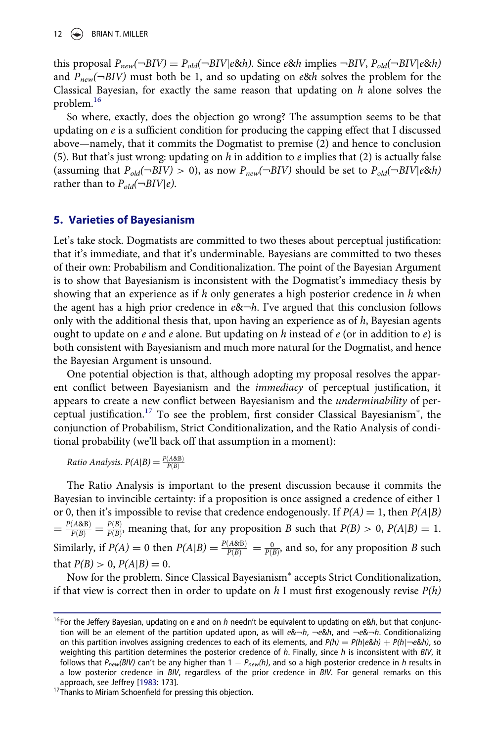this proposal  $P_{new}(\neg BIV) = P_{old}(\neg BIV|e\&h)$ . Since e&h implies  $\neg BIV$ ,  $P_{old}(\neg BIV|e\&h)$ and  $P_{new}(\neg BIV)$  must both be 1, and so updating on e&h solves the problem for the Classical Bayesian, for exactly the same reason that updating on  $h$  alone solves the problem.[16](#page-11-1)

So where, exactly, does the objection go wrong? The assumption seems to be that updating on e is a sufficient condition for producing the capping effect that I discussed above—namely, that it commits the Dogmatist to premise (2) and hence to conclusion (5). But that's just wrong: updating on  $h$  in addition to  $e$  implies that (2) is actually false (assuming that  $P_{old}(\neg BIV) > 0$ ), as now  $P_{new}(\neg BIV)$  should be set to  $P_{old}(\neg BIV|e\&h)$ rather than to  $P_{old}(\neg BIV|e)$ .

#### <span id="page-11-0"></span>5. Varieties of Bayesianism

Let's take stock. Dogmatists are committed to two theses about perceptual justification: that it's immediate, and that it's underminable. Bayesians are committed to two theses of their own: Probabilism and Conditionalization. The point of the Bayesian Argument is to show that Bayesianism is inconsistent with the Dogmatist's immediacy thesis by showing that an experience as if  $h$  only generates a high posterior credence in  $h$  when the agent has a high prior credence in  $e\&\neg h$ . I've argued that this conclusion follows only with the additional thesis that, upon having an experience as of  $h$ , Bayesian agents ought to update on  $e$  and  $e$  alone. But updating on  $h$  instead of  $e$  (or in addition to  $e$ ) is both consistent with Bayesianism and much more natural for the Dogmatist, and hence the Bayesian Argument is unsound.

One potential objection is that, although adopting my proposal resolves the apparent conflict between Bayesianism and the immediacy of perceptual justification, it appears to create a new conflict between Bayesianism and the underminability of per-ceptual justification.<sup>[17](#page-11-2)</sup> To see the problem, first consider Classical Bayesianism<sup>\*</sup>, the conjunction of Probabilism, Strict Conditionalization, and the Ratio Analysis of conditional probability (we'll back off that assumption in a moment):

Ratio Analysis.  $P(A|B) = \frac{P(A \& B)}{P(B)}$ 

The Ratio Analysis is important to the present discussion because it commits the Bayesian to invincible certainty: if a proposition is once assigned a credence of either 1 or 0, then it's impossible to revise that credence endogenously. If  $P(A) = 1$ , then  $P(A|B)$  $=\frac{P(A\&B)}{P(B)}=\frac{P(B)}{P(B)}$ , meaning that, for any proposition B such that  $P(B) > 0$ ,  $P(A|B) = 1$ . Similarly, if  $P(A) = 0$  then  $P(A|B) = \frac{P(A \& B)}{P(B)} = \frac{0}{P(B)}$ , and so, for any proposition B such that  $P(B) > 0$ ,  $P(A|B) = 0$ .

Now for the problem. Since Classical Bayesianism" accepts Strict Conditionalization, if that view is correct then in order to update on  $h$  I must first exogenously revise  $P(h)$ 

<span id="page-11-1"></span><sup>&</sup>lt;sup>16</sup>For the Jeffery Bayesian, updating on e and on h needn't be equivalent to updating on e&h, but that conjunction will be an element of the partition updated upon, as will  $e&-h$ ,  $-e&h$ , and  $-e&-h$ . Conditionalizing on this partition involves assigning credences to each of its elements, and  $P(h) = P(h|e\&h) + P(h|\neg e\&h)$ , so weighting this partition determines the posterior credence of h. Finally, since h is inconsistent with BIV, it follows that  $P_{new}(BIV)$  can't be any higher than  $1 - P_{new}(h)$ , and so a high posterior credence in h results in a low posterior credence in  $B/V$ , regardless of the prior credence in  $B/V$ . For general remarks on this approach, see Jeffrey [[1983](#page-14-7): 173].<br><sup>17</sup>Thanks to Miriam Schoenfield for pressing this objection.

<span id="page-11-2"></span>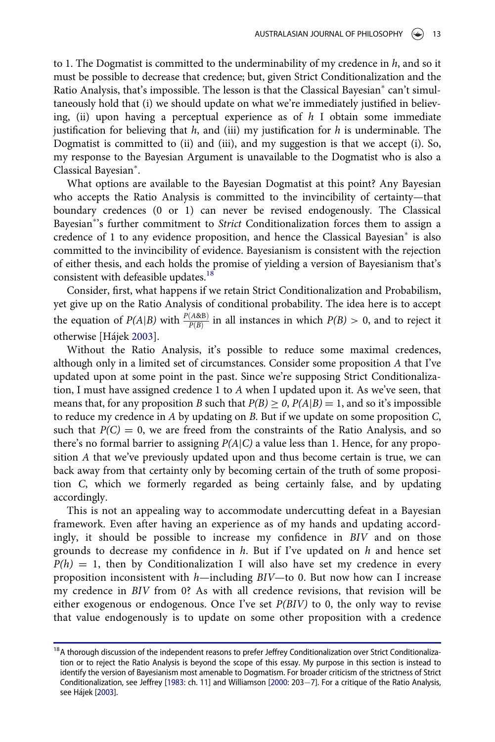to 1. The Dogmatist is committed to the underminability of my credence in  $h$ , and so it must be possible to decrease that credence; but, given Strict Conditionalization and the Ratio Analysis, that's impossible. The lesson is that the Classical Bayesian" can't simultaneously hold that (i) we should update on what we're immediately justified in believing, (ii) upon having a perceptual experience as of  $h$  I obtain some immediate justification for believing that  $h$ , and (iii) my justification for  $h$  is underminable. The Dogmatist is committed to (ii) and (iii), and my suggestion is that we accept (i). So, my response to the Bayesian Argument is unavailable to the Dogmatist who is also a Classical Bayesian" .

What options are available to the Bayesian Dogmatist at this point? Any Bayesian who accepts the Ratio Analysis is committed to the invincibility of certainty—that boundary credences (0 or 1) can never be revised endogenously. The Classical Bayesian<sup>\*</sup>'s further commitment to Strict Conditionalization forces them to assign a credence of 1 to any evidence proposition, and hence the Classical Bayesian" is also committed to the invincibility of evidence. Bayesianism is consistent with the rejection of either thesis, and each holds the promise of yielding a version of Bayesianism that's consistent with defeasible updates.<sup>[18](#page-12-0)</sup>

Consider, first, what happens if we retain Strict Conditionalization and Probabilism, yet give up on the Ratio Analysis of conditional probability. The idea here is to accept the equation of  $P(A|B)$  with  $\frac{P(A \& B)}{P(B)}$  in all instances in which  $P(B) > 0$ , and to reject it otherwise [Hájek [2003\]](#page-14-12).

Without the Ratio Analysis, it's possible to reduce some maximal credences, although only in a limited set of circumstances. Consider some proposition A that I've updated upon at some point in the past. Since we're supposing Strict Conditionalization, I must have assigned credence 1 to A when I updated upon it. As we've seen, that means that, for any proposition B such that  $P(B) \ge 0$ ,  $P(A|B) = 1$ , and so it's impossible to reduce my credence in A by updating on B. But if we update on some proposition C, such that  $P(C) = 0$ , we are freed from the constraints of the Ratio Analysis, and so there's no formal barrier to assigning  $P(A|C)$  a value less than 1. Hence, for any proposition A that we've previously updated upon and thus become certain is true, we can back away from that certainty only by becoming certain of the truth of some proposition C, which we formerly regarded as being certainly false, and by updating accordingly.

This is not an appealing way to accommodate undercutting defeat in a Bayesian framework. Even after having an experience as of my hands and updating accordingly, it should be possible to increase my confidence in BIV and on those grounds to decrease my confidence in  $h$ . But if I've updated on  $h$  and hence set  $P(h) = 1$ , then by Conditionalization I will also have set my credence in every proposition inconsistent with  $h$ —including  $BIV$ —to 0. But now how can I increase my credence in BIV from 0? As with all credence revisions, that revision will be either exogenous or endogenous. Once I've set  $P(BIV)$  to 0, the only way to revise that value endogenously is to update on some other proposition with a credence

<span id="page-12-2"></span><span id="page-12-1"></span><span id="page-12-0"></span><sup>&</sup>lt;sup>18</sup>A thorough discussion of the independent reasons to prefer Jeffrey Conditionalization over Strict Conditionalization or to reject the Ratio Analysis is beyond the scope of this essay. My purpose in this section is instead to identify the version of Bayesianism most amenable to Dogmatism. For broader criticism of the strictness of Strict Conditionalization, see Jeffrey [\[1983](#page-14-7): ch. 11] and Williamson [\[2000:](#page-14-13) 203-7]. For a critique of the Ratio Analysis, see Hájek [[2003\]](#page-14-12).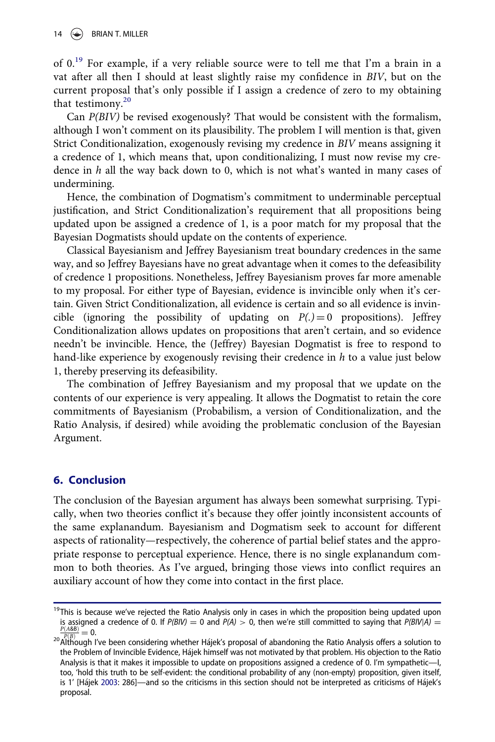of 0.[19](#page-13-1) For example, if a very reliable source were to tell me that I'm a brain in a vat after all then I should at least slightly raise my confidence in BIV, but on the current proposal that's only possible if I assign a credence of zero to my obtaining that testimony.<sup>[20](#page-13-2)</sup>

Can P(BIV) be revised exogenously? That would be consistent with the formalism, although I won't comment on its plausibility. The problem I will mention is that, given Strict Conditionalization, exogenously revising my credence in BIV means assigning it a credence of 1, which means that, upon conditionalizing, I must now revise my credence in  $h$  all the way back down to 0, which is not what's wanted in many cases of undermining.

Hence, the combination of Dogmatism's commitment to underminable perceptual justification, and Strict Conditionalization's requirement that all propositions being updated upon be assigned a credence of 1, is a poor match for my proposal that the Bayesian Dogmatists should update on the contents of experience.

Classical Bayesianism and Jeffrey Bayesianism treat boundary credences in the same way, and so Jeffrey Bayesians have no great advantage when it comes to the defeasibility of credence 1 propositions. Nonetheless, Jeffrey Bayesianism proves far more amenable to my proposal. For either type of Bayesian, evidence is invincible only when it's certain. Given Strict Conditionalization, all evidence is certain and so all evidence is invincible (ignoring the possibility of updating on  $P(.)=0$  propositions). Jeffrey Conditionalization allows updates on propositions that aren't certain, and so evidence needn't be invincible. Hence, the (Jeffrey) Bayesian Dogmatist is free to respond to hand-like experience by exogenously revising their credence in  $h$  to a value just below 1, thereby preserving its defeasibility.

The combination of Jeffrey Bayesianism and my proposal that we update on the contents of our experience is very appealing. It allows the Dogmatist to retain the core commitments of Bayesianism (Probabilism, a version of Conditionalization, and the Ratio Analysis, if desired) while avoiding the problematic conclusion of the Bayesian Argument.

# <span id="page-13-0"></span>6. Conclusion

The conclusion of the Bayesian argument has always been somewhat surprising. Typically, when two theories conflict it's because they offer jointly inconsistent accounts of the same explanandum. Bayesianism and Dogmatism seek to account for different aspects of rationality—respectively, the coherence of partial belief states and the appropriate response to perceptual experience. Hence, there is no single explanandum common to both theories. As I've argued, bringing those views into conflict requires an auxiliary account of how they come into contact in the first place.

<span id="page-13-1"></span><sup>&</sup>lt;sup>19</sup>This is because we've rejected the Ratio Analysis only in cases in which the proposition being updated upon is assigned a credence of 0. If  $P(BIV) = 0$  and  $P(A) > 0$ , then we're still committed to saying that  $P(BIV|A) = \frac{P(A&B)}{P(B)} = 0$ .

<span id="page-13-2"></span> $P^{P(B)}_{\text{D}}$  D  $P^{P(B)}_{\text{D}}$  is een considering whether Hájek's proposal of abandoning the Ratio Analysis offers a solution to the Problem of Invincible Evidence, Hájek himself was not motivated by that problem. His objection to the Ratio Analysis is that it makes it impossible to update on propositions assigned a credence of 0. I'm sympathetic—I, too, 'hold this truth to be self-evident: the conditional probability of any (non-empty) proposition, given itself, is 1' [Hájek [2003](#page-14-12): 286]—and so the criticisms in this section should not be interpreted as criticisms of Hájek's proposal.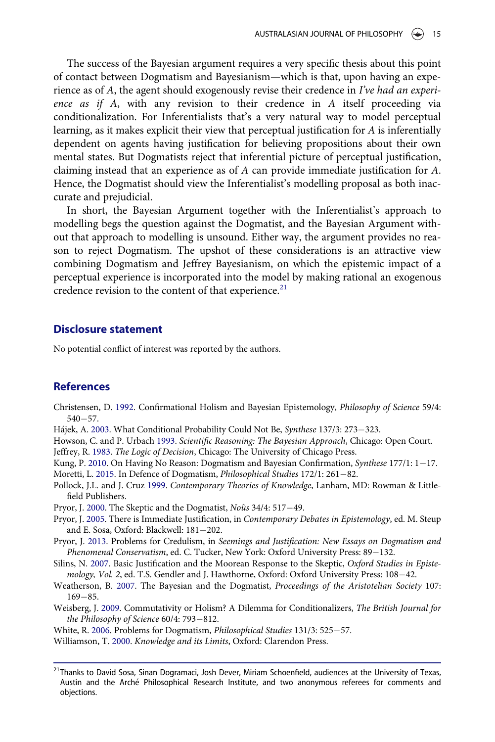The success of the Bayesian argument requires a very specific thesis about this point of contact between Dogmatism and Bayesianism—which is that, upon having an experience as of A, the agent should exogenously revise their credence in I've had an experience as if A, with any revision to their credence in A itself proceeding via conditionalization. For Inferentialists that's a very natural way to model perceptual learning, as it makes explicit their view that perceptual justification for A is inferentially dependent on agents having justification for believing propositions about their own mental states. But Dogmatists reject that inferential picture of perceptual justification, claiming instead that an experience as of A can provide immediate justification for A. Hence, the Dogmatist should view the Inferentialist's modelling proposal as both inaccurate and prejudicial.

In short, the Bayesian Argument together with the Inferentialist's approach to modelling begs the question against the Dogmatist, and the Bayesian Argument without that approach to modelling is unsound. Either way, the argument provides no reason to reject Dogmatism. The upshot of these considerations is an attractive view combining Dogmatism and Jeffrey Bayesianism, on which the epistemic impact of a perceptual experience is incorporated into the model by making rational an exogenous credence revision to the content of that experience.<sup>[21](#page-14-14)</sup>

#### Disclosure statement

No potential conflict of interest was reported by the authors.

### **References**

- <span id="page-14-10"></span>Christensen, D. [1992](#page-10-0). Confirmational Holism and Bayesian Epistemology, Philosophy of Science 59/4:  $540 - 57.$
- <span id="page-14-12"></span>Hájek, A. [2003.](#page-12-1) What Conditional Probability Could Not Be, Synthese 137/3: 273–323.
- Howson, C. and P. Urbach 1993. Scientific Reasoning: The Bayesian Approach, Chicago: Open Court.
- <span id="page-14-7"></span>Jeffrey, R. [1983.](#page-3-2) The Logic of Decision, Chicago: The University of Chicago Press.
- <span id="page-14-6"></span>Kung, P. [2010](#page-2-2). On Having No Reason: Dogmatism and Bayesian Confirmation, Synthese 177/1:  $1-17$ .
- <span id="page-14-8"></span>Moretti, L. [2015.](#page-6-2) In Defence of Dogmatism, *Philosophical Studies* 172/1: 261-82.
- <span id="page-14-3"></span>Pollock, J.L. and J. Cruz [1999.](#page-1-2) Contemporary Theories of Knowledge, Lanham, MD: Rowman & Littlefield Publishers.
- <span id="page-14-0"></span>Pryor, J. [2000.](#page-1-3) The Skeptic and the Dogmatist, Nous 34/4: 517-49.
- <span id="page-14-1"></span>Pryor, J. [2005](#page-1-3). There is Immediate Justification, in Contemporary Debates in Epistemology, ed. M. Steup and E. Sosa, Oxford: Blackwell: 181-202.
- <span id="page-14-2"></span>Pryor, J. [2013.](#page-1-3) Problems for Credulism, in Seemings and Justification: New Essays on Dogmatism and Phenomenal Conservatism, ed. C. Tucker, New York: Oxford University Press: 89-132.
- <span id="page-14-5"></span>Silins, N. [2007](#page-2-3). Basic Justification and the Moorean Response to the Skeptic, Oxford Studies in Epistemology, Vol. 2, ed. T.S. Gendler and J. Hawthorne, Oxford: Oxford University Press: 108-42.
- <span id="page-14-4"></span>Weatherson, B. [2007](#page-2-4). The Bayesian and the Dogmatist, Proceedings of the Aristotelian Society 107:  $169 - 85.$
- <span id="page-14-11"></span>Weisberg, J. [2009.](#page-10-2) Commutativity or Holism? A Dilemma for Conditionalizers, The British Journal for the Philosophy of Science  $60/4$ : 793-812.
- <span id="page-14-9"></span>White, R. [2006](#page-9-1). Problems for Dogmatism, *Philosophical Studies* 131/3: 525–57.

<span id="page-14-13"></span>Williamson, T. [2000](#page-12-2). Knowledge and its Limits, Oxford: Clarendon Press.

<span id="page-14-14"></span><sup>&</sup>lt;sup>21</sup>Thanks to David Sosa, Sinan Dogramaci, Josh Dever, Miriam Schoenfield, audiences at the University of Texas, Austin and the Arché Philosophical Research Institute, and two anonymous referees for comments and objections.